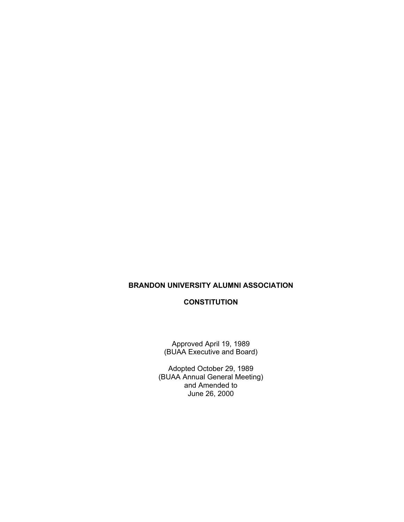# **BRANDON UNIVERSITY ALUMNI ASSOCIATION**

# **CONSTITUTION**

Approved April 19, 1989 (BUAA Executive and Board)

Adopted October 29, 1989 (BUAA Annual General Meeting) and Amended to June 26, 2000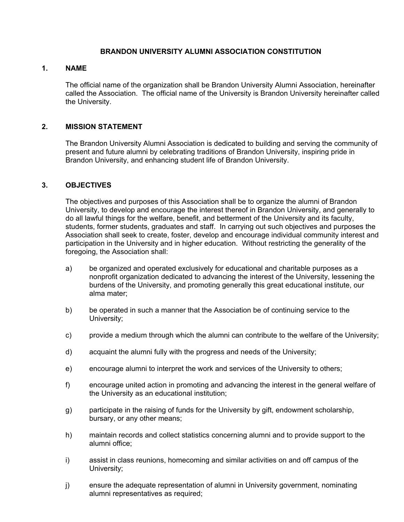## **BRANDON UNIVERSITY ALUMNI ASSOCIATION CONSTITUTION**

## **1. NAME**

The official name of the organization shall be Brandon University Alumni Association, hereinafter called the Association. The official name of the University is Brandon University hereinafter called the University.

## **2. MISSION STATEMENT**

The Brandon University Alumni Association is dedicated to building and serving the community of present and future alumni by celebrating traditions of Brandon University, inspiring pride in Brandon University, and enhancing student life of Brandon University.

## **3. OBJECTIVES**

The objectives and purposes of this Association shall be to organize the alumni of Brandon University, to develop and encourage the interest thereof in Brandon University, and generally to do all lawful things for the welfare, benefit, and betterment of the University and its faculty, students, former students, graduates and staff. In carrying out such objectives and purposes the Association shall seek to create, foster, develop and encourage individual community interest and participation in the University and in higher education. Without restricting the generality of the foregoing, the Association shall:

- a) be organized and operated exclusively for educational and charitable purposes as a nonprofit organization dedicated to advancing the interest of the University, lessening the burdens of the University, and promoting generally this great educational institute, our alma mater;
- b) be operated in such a manner that the Association be of continuing service to the University;
- c) provide a medium through which the alumni can contribute to the welfare of the University;
- d) acquaint the alumni fully with the progress and needs of the University;
- e) encourage alumni to interpret the work and services of the University to others;
- f) encourage united action in promoting and advancing the interest in the general welfare of the University as an educational institution;
- g) participate in the raising of funds for the University by gift, endowment scholarship, bursary, or any other means;
- h) maintain records and collect statistics concerning alumni and to provide support to the alumni office;
- i) assist in class reunions, homecoming and similar activities on and off campus of the University;
- j) ensure the adequate representation of alumni in University government, nominating alumni representatives as required;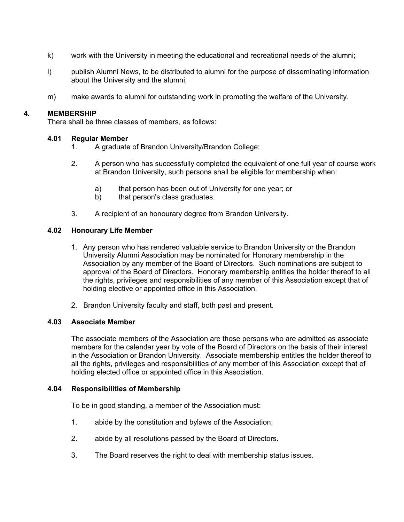- k) work with the University in meeting the educational and recreational needs of the alumni;
- l) publish Alumni News, to be distributed to alumni for the purpose of disseminating information about the University and the alumni;
- m) make awards to alumni for outstanding work in promoting the welfare of the University.

## **4. MEMBERSHIP**

There shall be three classes of members, as follows:

## **4.01 Regular Member**

- 1. A graduate of Brandon University/Brandon College;
- 2. A person who has successfully completed the equivalent of one full year of course work at Brandon University, such persons shall be eligible for membership when:
	- a) that person has been out of University for one year; or
	- b) that person's class graduates.
- 3. A recipient of an honourary degree from Brandon University.

## **4.02 Honourary Life Member**

- 1. Any person who has rendered valuable service to Brandon University or the Brandon University Alumni Association may be nominated for Honorary membership in the Association by any member of the Board of Directors. Such nominations are subject to approval of the Board of Directors. Honorary membership entitles the holder thereof to all the rights, privileges and responsibilities of any member of this Association except that of holding elective or appointed office in this Association.
- 2. Brandon University faculty and staff, both past and present.

### **4.03 Associate Member**

 The associate members of the Association are those persons who are admitted as associate members for the calendar year by vote of the Board of Directors on the basis of their interest in the Association or Brandon University. Associate membership entitles the holder thereof to all the rights, privileges and responsibilities of any member of this Association except that of holding elected office or appointed office in this Association.

### **4.04 Responsibilities of Membership**

To be in good standing, a member of the Association must:

- 1. abide by the constitution and bylaws of the Association;
- 2. abide by all resolutions passed by the Board of Directors.
- 3. The Board reserves the right to deal with membership status issues.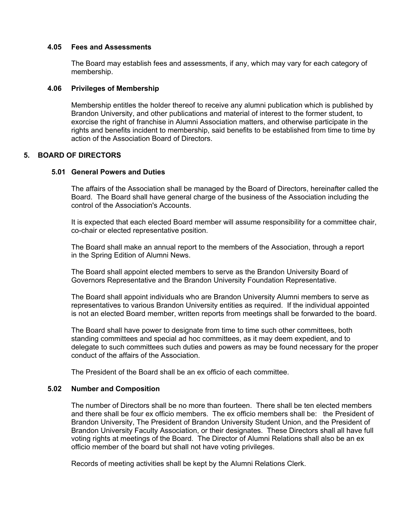#### **4.05 Fees and Assessments**

The Board may establish fees and assessments, if any, which may vary for each category of membership.

#### **4.06 Privileges of Membership**

Membership entitles the holder thereof to receive any alumni publication which is published by Brandon University, and other publications and material of interest to the former student, to exorcise the right of franchise in Alumni Association matters, and otherwise participate in the rights and benefits incident to membership, said benefits to be established from time to time by action of the Association Board of Directors.

### **5. BOARD OF DIRECTORS**

#### **5.01 General Powers and Duties**

The affairs of the Association shall be managed by the Board of Directors, hereinafter called the Board. The Board shall have general charge of the business of the Association including the control of the Association's Accounts.

It is expected that each elected Board member will assume responsibility for a committee chair, co-chair or elected representative position.

 The Board shall make an annual report to the members of the Association, through a report in the Spring Edition of Alumni News.

 The Board shall appoint elected members to serve as the Brandon University Board of Governors Representative and the Brandon University Foundation Representative.

 The Board shall appoint individuals who are Brandon University Alumni members to serve as representatives to various Brandon University entities as required. If the individual appointed is not an elected Board member, written reports from meetings shall be forwarded to the board.

 The Board shall have power to designate from time to time such other committees, both standing committees and special ad hoc committees, as it may deem expedient, and to delegate to such committees such duties and powers as may be found necessary for the proper conduct of the affairs of the Association.

The President of the Board shall be an ex officio of each committee.

#### **5.02 Number and Composition**

The number of Directors shall be no more than fourteen. There shall be ten elected members and there shall be four ex officio members. The ex officio members shall be: the President of Brandon University, The President of Brandon University Student Union, and the President of Brandon University Faculty Association, or their designates. These Directors shall all have full voting rights at meetings of the Board. The Director of Alumni Relations shall also be an ex officio member of the board but shall not have voting privileges.

Records of meeting activities shall be kept by the Alumni Relations Clerk.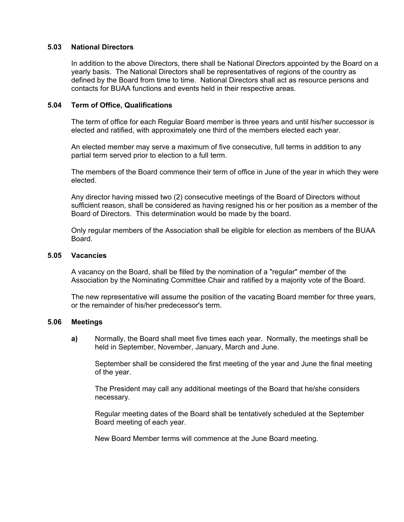### **5.03 National Directors**

In addition to the above Directors, there shall be National Directors appointed by the Board on a yearly basis. The National Directors shall be representatives of regions of the country as defined by the Board from time to time. National Directors shall act as resource persons and contacts for BUAA functions and events held in their respective areas.

## **5.04 Term of Office, Qualifications**

The term of office for each Regular Board member is three years and until his/her successor is elected and ratified, with approximately one third of the members elected each year.

An elected member may serve a maximum of five consecutive, full terms in addition to any partial term served prior to election to a full term.

The members of the Board commence their term of office in June of the year in which they were elected.

Any director having missed two (2) consecutive meetings of the Board of Directors without sufficient reason, shall be considered as having resigned his or her position as a member of the Board of Directors. This determination would be made by the board.

Only regular members of the Association shall be eligible for election as members of the BUAA Board.

#### **5.05 Vacancies**

A vacancy on the Board, shall be filled by the nomination of a "regular" member of the Association by the Nominating Committee Chair and ratified by a majority vote of the Board.

The new representative will assume the position of the vacating Board member for three years, or the remainder of his/her predecessor's term.

### **5.06 Meetings**

**a)** Normally, the Board shall meet five times each year. Normally, the meetings shall be held in September, November, January, March and June.

 September shall be considered the first meeting of the year and June the final meeting of the year.

The President may call any additional meetings of the Board that he/she considers necessary.

Regular meeting dates of the Board shall be tentatively scheduled at the September Board meeting of each year.

New Board Member terms will commence at the June Board meeting.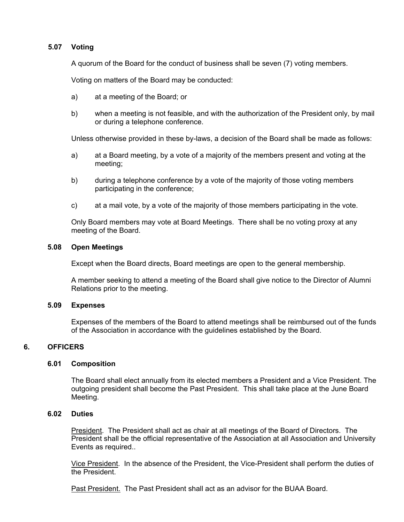# **5.07 Voting**

A quorum of the Board for the conduct of business shall be seven (7) voting members.

Voting on matters of the Board may be conducted:

- a) at a meeting of the Board; or
- b) when a meeting is not feasible, and with the authorization of the President only, by mail or during a telephone conference.

Unless otherwise provided in these by-laws, a decision of the Board shall be made as follows:

- a) at a Board meeting, by a vote of a majority of the members present and voting at the meeting;
- b) during a telephone conference by a vote of the majority of those voting members participating in the conference;
- c) at a mail vote, by a vote of the majority of those members participating in the vote.

Only Board members may vote at Board Meetings. There shall be no voting proxy at any meeting of the Board.

### **5.08 Open Meetings**

Except when the Board directs, Board meetings are open to the general membership.

A member seeking to attend a meeting of the Board shall give notice to the Director of Alumni Relations prior to the meeting.

### **5.09 Expenses**

Expenses of the members of the Board to attend meetings shall be reimbursed out of the funds of the Association in accordance with the guidelines established by the Board.

# **6. OFFICERS**

### **6.01 Composition**

The Board shall elect annually from its elected members a President and a Vice President. The outgoing president shall become the Past President. This shall take place at the June Board Meeting.

## **6.02 Duties**

**President.** The President shall act as chair at all meetings of the Board of Directors. The President shall be the official representative of the Association at all Association and University Events as required..

Vice President. In the absence of the President, the Vice-President shall perform the duties of the President.

Past President. The Past President shall act as an advisor for the BUAA Board.